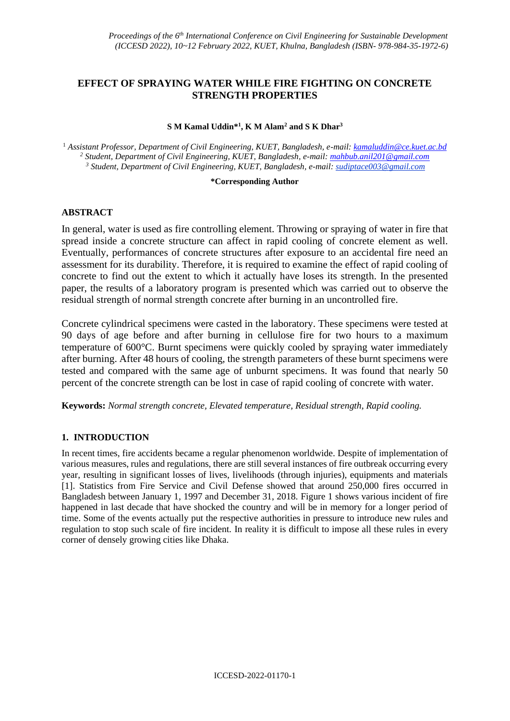## **EFFECT OF SPRAYING WATER WHILE FIRE FIGHTING ON CONCRETE STRENGTH PROPERTIES**

#### **S M Kamal Uddin\* 1 , K M Alam<sup>2</sup> and S K Dhar<sup>3</sup>**

<sup>1</sup> *Assistant Professor, Department of Civil Engineering, KUET, Bangladesh, e-mail: kamaluddin@ce.kuet.ac.bd <sup>2</sup> Student, Department of Civil Engineering, KUET, Bangladesh, e-mail[: mahbub.anil201@gmail.com](mailto:mahbub.anil201@gmail.com) <sup>3</sup> Student, Department of Civil Engineering, KUET, Bangladesh, e-mail: sudiptace003@gmail.com*

#### **\*Corresponding Author**

### **ABSTRACT**

In general, water is used as fire controlling element. Throwing or spraying of water in fire that spread inside a concrete structure can affect in rapid cooling of concrete element as well. Eventually, performances of concrete structures after exposure to an accidental fire need an assessment for its durability. Therefore, it is required to examine the effect of rapid cooling of concrete to find out the extent to which it actually have loses its strength. In the presented paper, the results of a laboratory program is presented which was carried out to observe the residual strength of normal strength concrete after burning in an uncontrolled fire.

Concrete cylindrical specimens were casted in the laboratory. These specimens were tested at 90 days of age before and after burning in cellulose fire for two hours to a maximum temperature of 600°C. Burnt specimens were quickly cooled by spraying water immediately after burning. After 48 hours of cooling, the strength parameters of these burnt specimens were tested and compared with the same age of unburnt specimens. It was found that nearly 50 percent of the concrete strength can be lost in case of rapid cooling of concrete with water.

**Keywords:** *Normal strength concrete, Elevated temperature, Residual strength, Rapid cooling.*

### **1. INTRODUCTION**

In recent times, fire accidents became a regular phenomenon worldwide. Despite of implementation of various measures, rules and regulations, there are still several instances of fire outbreak occurring every year, resulting in significant losses of lives, livelihoods (through injuries), equipments and materials [\[1\]](https://link.springer.com/article/10.1007/s10694-013-0349-2?shared-article-renderer#ref-CR1). Statistics from Fire Service and Civil Defense showed that around 250,000 fires occurred in Bangladesh between January 1, 1997 and December 31, 2018. Figure 1 shows various incident of fire happened in last decade that have shocked the country and will be in memory for a longer period of time. Some of the events actually put the respective authorities in pressure to introduce new rules and regulation to stop such scale of fire incident. In reality it is difficult to impose all these rules in every corner of densely growing cities like Dhaka.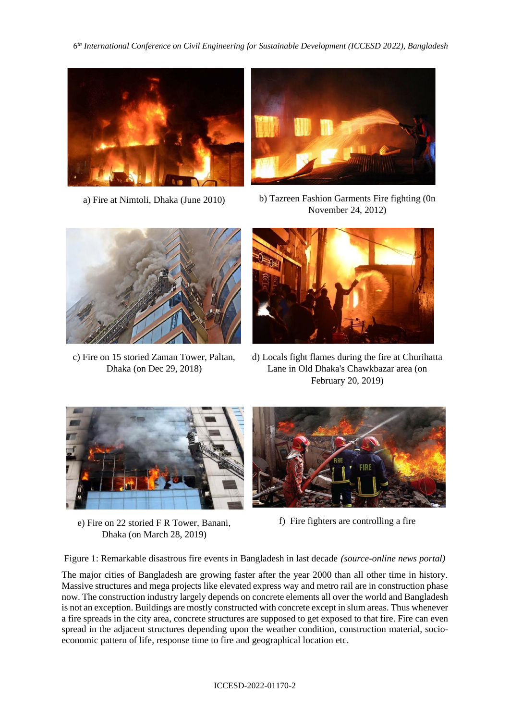*6 th International Conference on Civil Engineering for Sustainable Development (ICCESD 2022), Bangladesh*





a) Fire at Nimtoli, Dhaka (June 2010) b) Tazreen Fashion Garments Fire fighting (0n November 24, 2012)



c) Fire on 15 storied Zaman Tower, Paltan, Dhaka (on Dec 29, 2018)



d) Locals fight flames during the fire at Churihatta Lane in Old Dhaka's Chawkbazar area (on February 20, 2019)



e) Fire on 22 storied F R Tower, Banani, Dhaka (on March 28, 2019)



f) Fire fighters are controlling a fire

Figure 1: Remarkable disastrous fire events in Bangladesh in last decade *(source-online news portal)*

The major cities of Bangladesh are growing faster after the year 2000 than all other time in history. Massive structures and mega projects like elevated express way and metro rail are in construction phase now. The construction industry largely depends on concrete elements all over the world and Bangladesh is not an exception. Buildings are mostly constructed with concrete except in slum areas. Thus whenever a fire spreads in the city area, concrete structures are supposed to get exposed to that fire. Fire can even spread in the adjacent structures depending upon the weather condition, construction material, socioeconomic pattern of life, response time to fire and geographical location etc.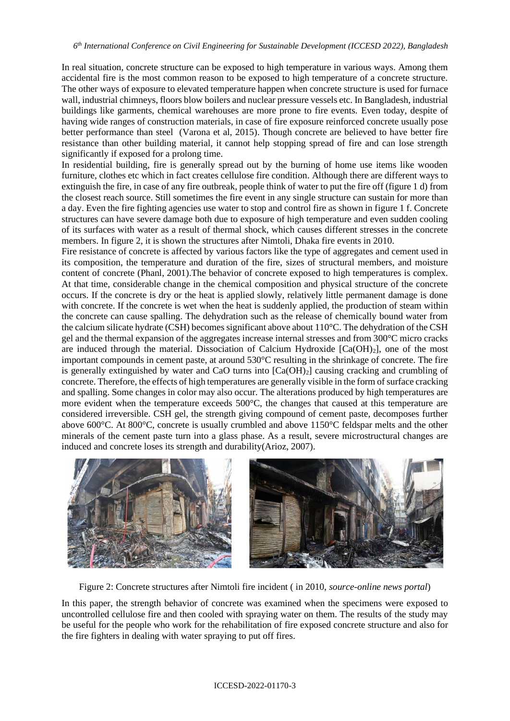In real situation, concrete structure can be exposed to high temperature in various ways. Among them accidental fire is the most common reason to be exposed to high temperature of a concrete structure. The other ways of exposure to elevated temperature happen when concrete structure is used for furnace wall, industrial chimneys, floors blow boilers and nuclear pressure vessels etc. In Bangladesh, industrial buildings like garments, chemical warehouses are more prone to fire events. Even today, despite of having wide ranges of construction materials, in case of fire exposure reinforced concrete usually pose better performance than steel (Varona et al, 2015). Though concrete are believed to have better fire resistance than other building material, it cannot help stopping spread of fire and can lose strength significantly if exposed for a prolong time.

In residential building, fire is generally spread out by the burning of home use items like wooden furniture, clothes etc which in fact creates cellulose fire condition. Although there are different ways to extinguish the fire, in case of any fire outbreak, people think of water to put the fire off (figure 1 d) from the closest reach source. Still sometimes the fire event in any single structure can sustain for more than a day. Even the fire fighting agencies use water to stop and control fire as shown in figure 1 f. Concrete structures can have severe damage both due to exposure of high temperature and even sudden cooling of its surfaces with water as a result of thermal shock, which causes different stresses in the concrete members. In figure 2, it is shown the structures after Nimtoli, Dhaka fire events in 2010.

Fire resistance of concrete is affected by various factors like the type of aggregates and cement used in its composition, the temperature and duration of the fire, sizes of structural members, and moisture content of concrete (Phanl, 2001).The behavior of concrete exposed to high temperatures is complex. At that time, considerable change in the chemical composition and physical structure of the concrete occurs. If the concrete is dry or the heat is applied slowly, relatively little permanent damage is done with concrete. If the concrete is wet when the heat is suddenly applied, the production of steam within the concrete can cause spalling. The dehydration such as the release of chemically bound water from the calcium silicate hydrate (CSH) becomes significant above about 110°C. The dehydration of the CSH gel and the thermal expansion of the aggregates increase internal stresses and from 300°C micro cracks are induced through the material. Dissociation of Calcium Hydroxide [Ca(OH)2], one of the most important compounds in cement paste, at around 530°C resulting in the shrinkage of concrete. The fire is generally extinguished by water and CaO turns into  $[Ca(OH)_2]$  causing cracking and crumbling of concrete. Therefore, the effects of high temperatures are generally visible in the form of surface cracking and spalling. Some changes in color may also occur. The alterations produced by high temperatures are more evident when the temperature exceeds 500°C, the changes that caused at this temperature are considered irreversible. CSH gel, the strength giving compound of cement paste, decomposes further above 600°C. At 800°C, concrete is usually crumbled and above 1150°C feldspar melts and the other minerals of the cement paste turn into a glass phase. As a result, severe microstructural changes are induced and concrete loses its strength and durability(Arioz, 2007).



Figure 2: Concrete structures after Nimtoli fire incident ( in 2010, *source-online news portal*)

In this paper, the strength behavior of concrete was examined when the specimens were exposed to uncontrolled cellulose fire and then cooled with spraying water on them. The results of the study may be useful for the people who work for the rehabilitation of fire exposed concrete structure and also for the fire fighters in dealing with water spraying to put off fires.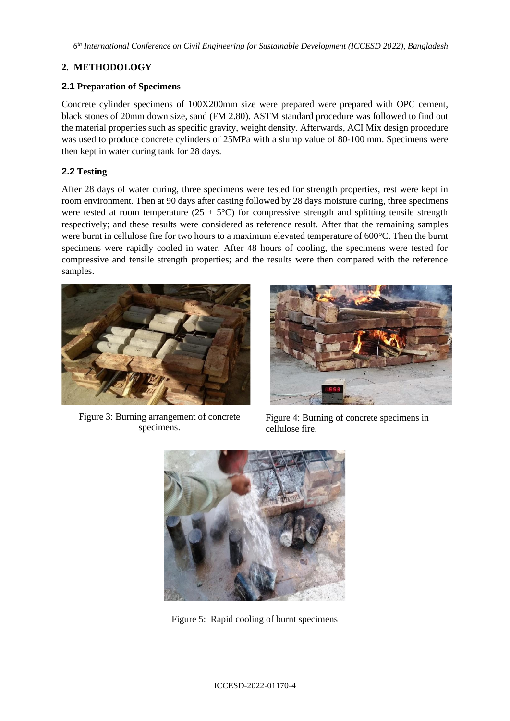*6 th International Conference on Civil Engineering for Sustainable Development (ICCESD 2022), Bangladesh*

# **2. METHODOLOGY**

## **2.1 Preparation of Specimens**

Concrete cylinder specimens of 100X200mm size were prepared were prepared with OPC cement, black stones of 20mm down size, sand (FM 2.80). ASTM standard procedure was followed to find out the material properties such as specific gravity, weight density. Afterwards, ACI Mix design procedure was used to produce concrete cylinders of 25MPa with a slump value of 80-100 mm. Specimens were then kept in water curing tank for 28 days.

## **2.2 Testing**

After 28 days of water curing, three specimens were tested for strength properties, rest were kept in room environment. Then at 90 days after casting followed by 28 days moisture curing, three specimens were tested at room temperature ( $25 \pm 5^{\circ}$ C) for compressive strength and splitting tensile strength respectively; and these results were considered as reference result. After that the remaining samples were burnt in cellulose fire for two hours to a maximum elevated temperature of 600°C. Then the burnt specimens were rapidly cooled in water. After 48 hours of cooling, the specimens were tested for compressive and tensile strength properties; and the results were then compared with the reference samples.



Figure 3: Burning arrangement of concrete specimens.



Figure 4: Burning of concrete specimens in cellulose fire.



Figure 5: Rapid cooling of burnt specimens